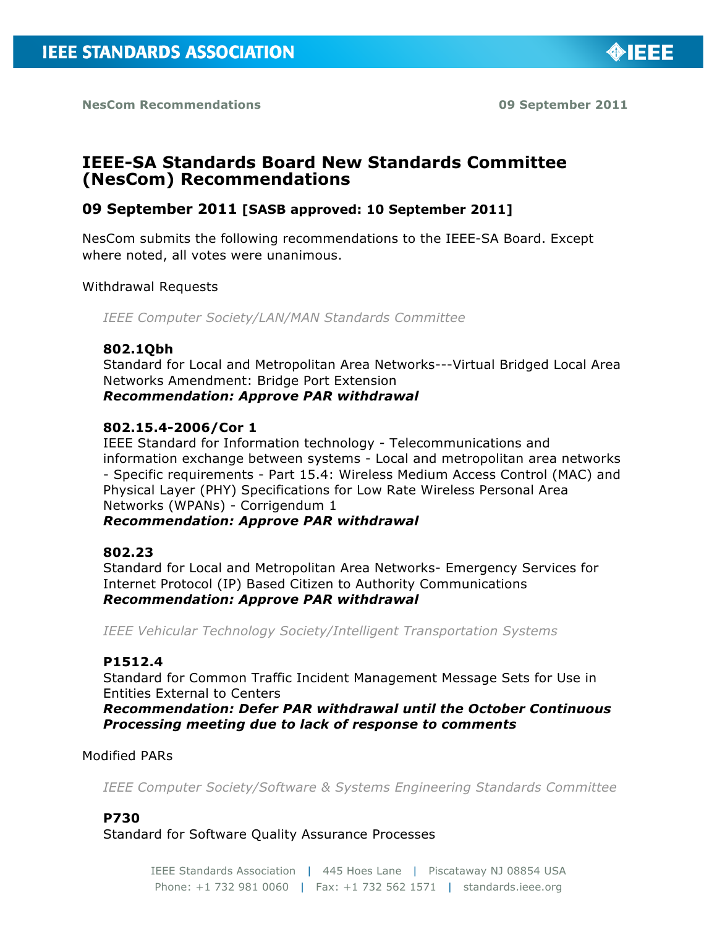

**NesCom Recommendations 09 September 2011**

# **IEEE-SA Standards Board New Standards Committee (NesCom) Recommendations**

## **09 September 2011 [SASB approved: 10 September 2011]**

NesCom submits the following recommendations to the IEEE-SA Board. Except where noted, all votes were unanimous.

### Withdrawal Requests

*IEEE Computer Society/LAN/MAN Standards Committee*

### **802.1Qbh**

Standard for Local and Metropolitan Area Networks---Virtual Bridged Local Area Networks Amendment: Bridge Port Extension *Recommendation: Approve PAR withdrawal*

### **802.15.4-2006/Cor 1**

IEEE Standard for Information technology - Telecommunications and information exchange between systems - Local and metropolitan area networks - Specific requirements - Part 15.4: Wireless Medium Access Control (MAC) and Physical Layer (PHY) Specifications for Low Rate Wireless Personal Area Networks (WPANs) - Corrigendum 1

### *Recommendation: Approve PAR withdrawal*

### **802.23**

Standard for Local and Metropolitan Area Networks- Emergency Services for Internet Protocol (IP) Based Citizen to Authority Communications *Recommendation: Approve PAR withdrawal*

*IEEE Vehicular Technology Society/Intelligent Transportation Systems*

### **P1512.4**

Standard for Common Traffic Incident Management Message Sets for Use in Entities External to Centers

*Recommendation: Defer PAR withdrawal until the October Continuous Processing meeting due to lack of response to comments*

#### Modified PARs

*IEEE Computer Society/Software & Systems Engineering Standards Committee*

### **P730**

Standard for Software Quality Assurance Processes

IEEE Standards Association | 445 Hoes Lane | Piscataway NJ 08854 USA Phone: +1 732 981 0060 | Fax: +1 732 562 1571 | standards.ieee.org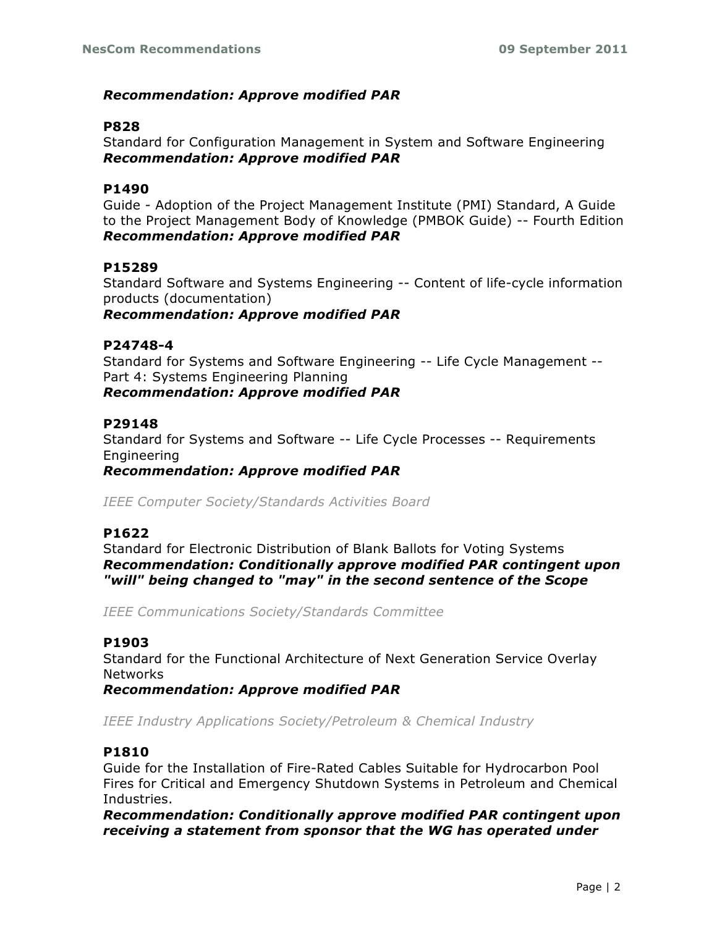## *Recommendation: Approve modified PAR*

### **P828**

Standard for Configuration Management in System and Software Engineering *Recommendation: Approve modified PAR*

### **P1490**

Guide - Adoption of the Project Management Institute (PMI) Standard, A Guide to the Project Management Body of Knowledge (PMBOK Guide) -- Fourth Edition *Recommendation: Approve modified PAR*

### **P15289**

Standard Software and Systems Engineering -- Content of life-cycle information products (documentation)

*Recommendation: Approve modified PAR*

### **P24748-4**

Standard for Systems and Software Engineering -- Life Cycle Management -- Part 4: Systems Engineering Planning *Recommendation: Approve modified PAR*

### **P29148**

Standard for Systems and Software -- Life Cycle Processes -- Requirements Engineering

*Recommendation: Approve modified PAR*

*IEEE Computer Society/Standards Activities Board*

### **P1622**

Standard for Electronic Distribution of Blank Ballots for Voting Systems *Recommendation: Conditionally approve modified PAR contingent upon "will" being changed to "may" in the second sentence of the Scope*

*IEEE Communications Society/Standards Committee*

### **P1903**

Standard for the Functional Architecture of Next Generation Service Overlay **Networks** 

*Recommendation: Approve modified PAR*

*IEEE Industry Applications Society/Petroleum & Chemical Industry*

### **P1810**

Guide for the Installation of Fire-Rated Cables Suitable for Hydrocarbon Pool Fires for Critical and Emergency Shutdown Systems in Petroleum and Chemical Industries.

*Recommendation: Conditionally approve modified PAR contingent upon receiving a statement from sponsor that the WG has operated under*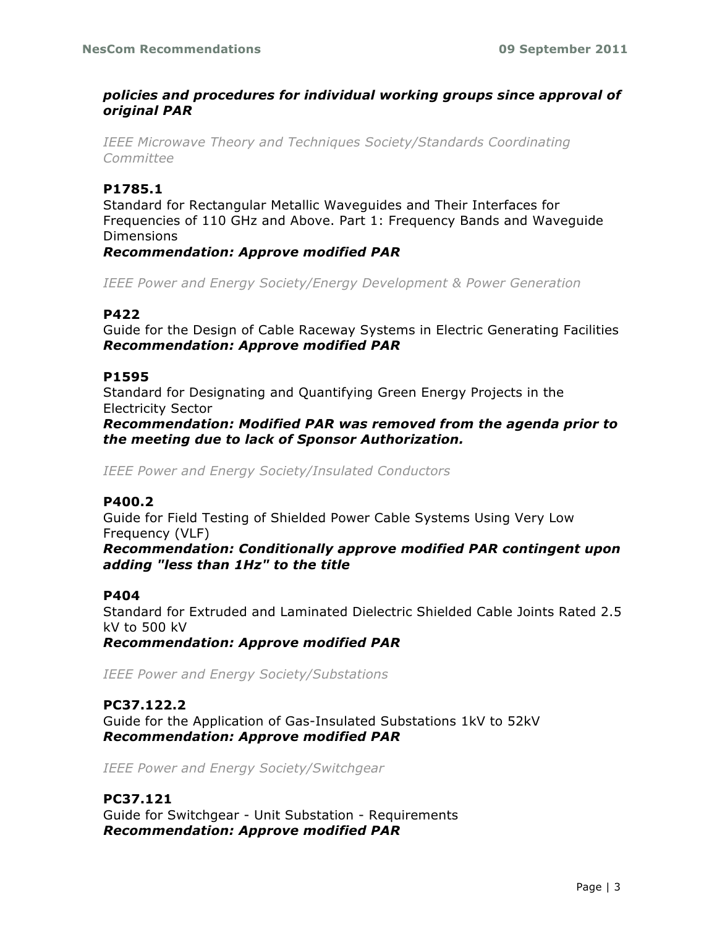## *policies and procedures for individual working groups since approval of original PAR*

*IEEE Microwave Theory and Techniques Society/Standards Coordinating Committee*

### **P1785.1**

Standard for Rectangular Metallic Waveguides and Their Interfaces for Frequencies of 110 GHz and Above. Part 1: Frequency Bands and Waveguide Dimensions

*Recommendation: Approve modified PAR*

*IEEE Power and Energy Society/Energy Development & Power Generation*

#### **P422**

Guide for the Design of Cable Raceway Systems in Electric Generating Facilities *Recommendation: Approve modified PAR*

#### **P1595**

Standard for Designating and Quantifying Green Energy Projects in the Electricity Sector

*Recommendation: Modified PAR was removed from the agenda prior to the meeting due to lack of Sponsor Authorization.*

*IEEE Power and Energy Society/Insulated Conductors*

#### **P400.2**

Guide for Field Testing of Shielded Power Cable Systems Using Very Low Frequency (VLF)

*Recommendation: Conditionally approve modified PAR contingent upon adding "less than 1Hz" to the title*

#### **P404**

Standard for Extruded and Laminated Dielectric Shielded Cable Joints Rated 2.5 kV to 500 kV

*Recommendation: Approve modified PAR*

*IEEE Power and Energy Society/Substations*

### **PC37.122.2**

Guide for the Application of Gas-Insulated Substations 1kV to 52kV *Recommendation: Approve modified PAR*

*IEEE Power and Energy Society/Switchgear*

## **PC37.121**

Guide for Switchgear - Unit Substation - Requirements *Recommendation: Approve modified PAR*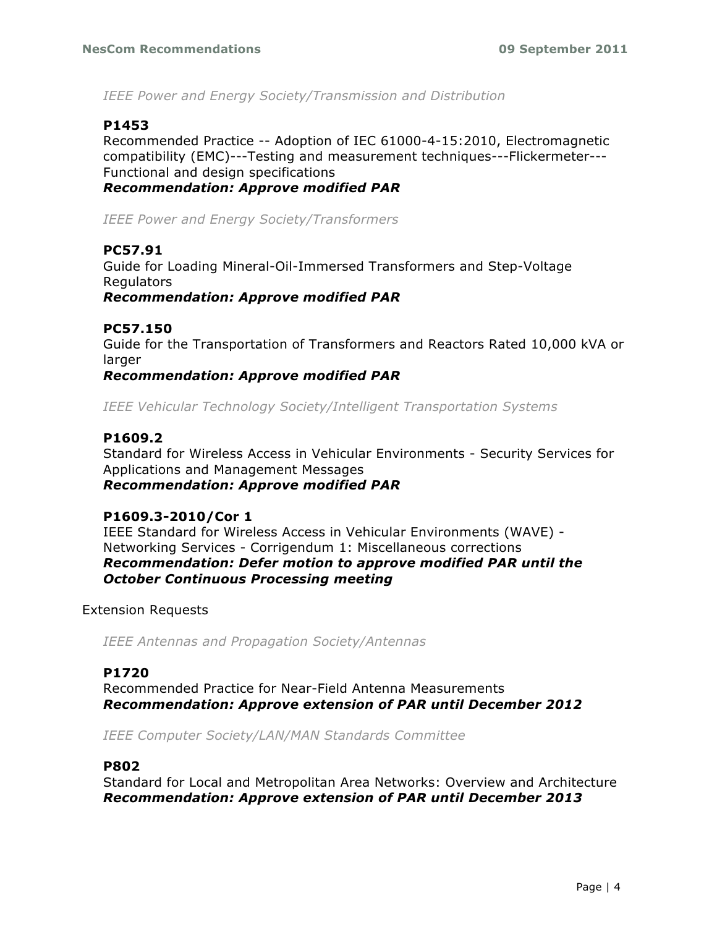*IEEE Power and Energy Society/Transmission and Distribution*

## **P1453**

Recommended Practice -- Adoption of IEC 61000-4-15:2010, Electromagnetic compatibility (EMC)---Testing and measurement techniques---Flickermeter--- Functional and design specifications *Recommendation: Approve modified PAR*

*IEEE Power and Energy Society/Transformers*

## **PC57.91**

Guide for Loading Mineral-Oil-Immersed Transformers and Step-Voltage Regulators *Recommendation: Approve modified PAR*

### **PC57.150**

Guide for the Transportation of Transformers and Reactors Rated 10,000 kVA or larger

*Recommendation: Approve modified PAR*

*IEEE Vehicular Technology Society/Intelligent Transportation Systems*

### **P1609.2**

Standard for Wireless Access in Vehicular Environments - Security Services for Applications and Management Messages *Recommendation: Approve modified PAR*

#### **P1609.3-2010/Cor 1**

IEEE Standard for Wireless Access in Vehicular Environments (WAVE) - Networking Services - Corrigendum 1: Miscellaneous corrections *Recommendation: Defer motion to approve modified PAR until the October Continuous Processing meeting*

#### Extension Requests

*IEEE Antennas and Propagation Society/Antennas*

### **P1720**

Recommended Practice for Near-Field Antenna Measurements *Recommendation: Approve extension of PAR until December 2012*

*IEEE Computer Society/LAN/MAN Standards Committee*

#### **P802**

Standard for Local and Metropolitan Area Networks: Overview and Architecture *Recommendation: Approve extension of PAR until December 2013*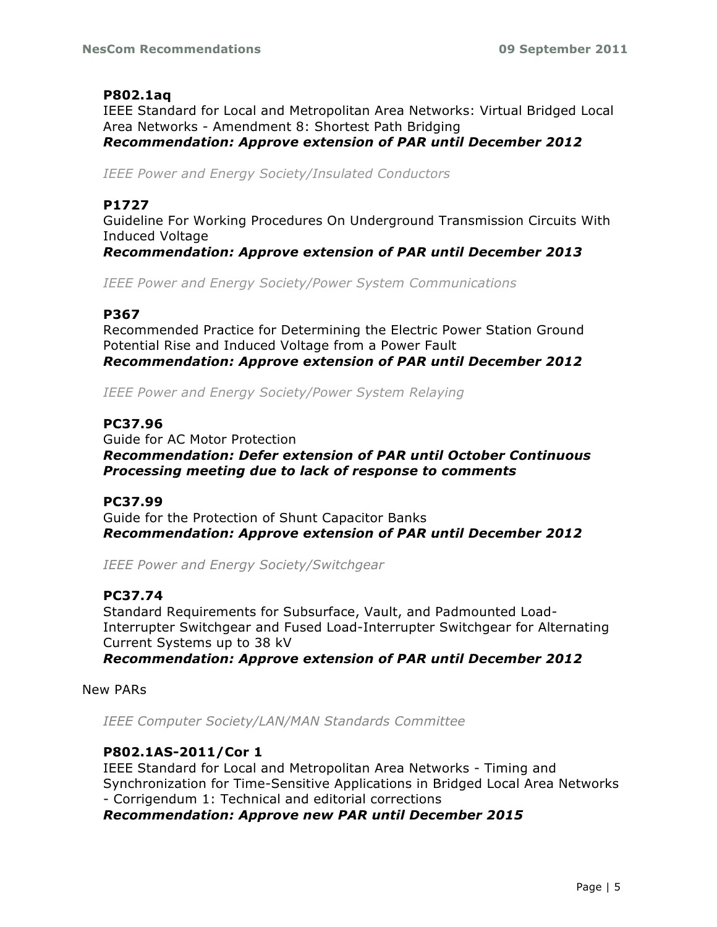## **P802.1aq**

IEEE Standard for Local and Metropolitan Area Networks: Virtual Bridged Local Area Networks - Amendment 8: Shortest Path Bridging *Recommendation: Approve extension of PAR until December 2012*

*IEEE Power and Energy Society/Insulated Conductors*

### **P1727**

Guideline For Working Procedures On Underground Transmission Circuits With Induced Voltage

*Recommendation: Approve extension of PAR until December 2013*

*IEEE Power and Energy Society/Power System Communications*

### **P367**

Recommended Practice for Determining the Electric Power Station Ground Potential Rise and Induced Voltage from a Power Fault *Recommendation: Approve extension of PAR until December 2012*

*IEEE Power and Energy Society/Power System Relaying*

## **PC37.96**

Guide for AC Motor Protection *Recommendation: Defer extension of PAR until October Continuous Processing meeting due to lack of response to comments*

### **PC37.99**

Guide for the Protection of Shunt Capacitor Banks *Recommendation: Approve extension of PAR until December 2012*

*IEEE Power and Energy Society/Switchgear*

### **PC37.74**

Standard Requirements for Subsurface, Vault, and Padmounted Load-Interrupter Switchgear and Fused Load-Interrupter Switchgear for Alternating Current Systems up to 38 kV

*Recommendation: Approve extension of PAR until December 2012*

New PARs

*IEEE Computer Society/LAN/MAN Standards Committee*

### **P802.1AS-2011/Cor 1**

IEEE Standard for Local and Metropolitan Area Networks - Timing and Synchronization for Time-Sensitive Applications in Bridged Local Area Networks - Corrigendum 1: Technical and editorial corrections *Recommendation: Approve new PAR until December 2015*

Page | 5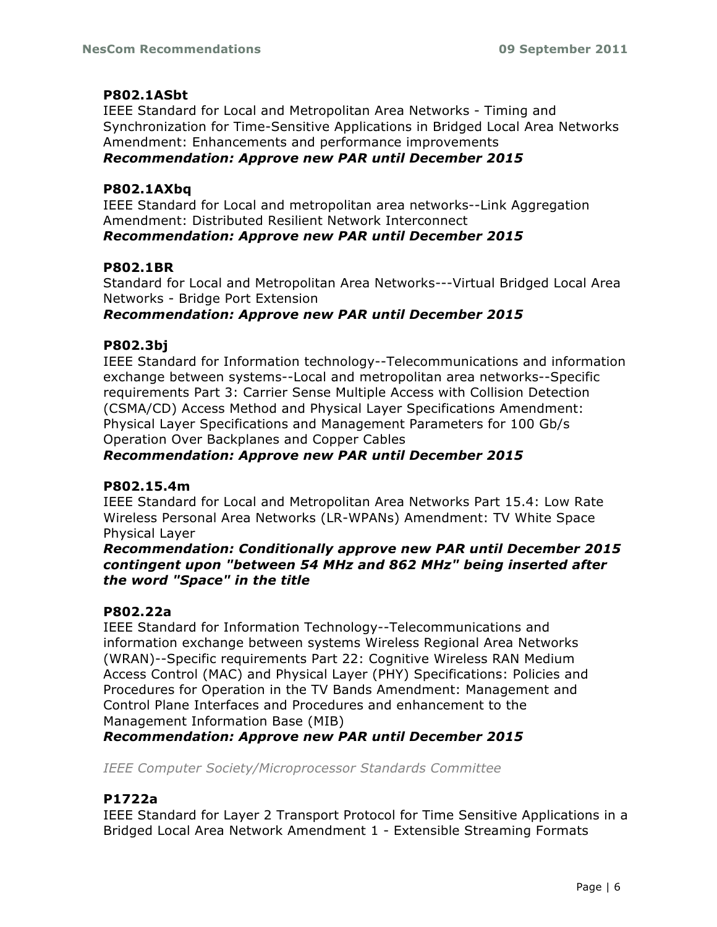## **P802.1ASbt**

IEEE Standard for Local and Metropolitan Area Networks - Timing and Synchronization for Time-Sensitive Applications in Bridged Local Area Networks Amendment: Enhancements and performance improvements *Recommendation: Approve new PAR until December 2015*

### **P802.1AXbq**

IEEE Standard for Local and metropolitan area networks--Link Aggregation Amendment: Distributed Resilient Network Interconnect *Recommendation: Approve new PAR until December 2015*

## **P802.1BR**

Standard for Local and Metropolitan Area Networks---Virtual Bridged Local Area Networks - Bridge Port Extension

### *Recommendation: Approve new PAR until December 2015*

## **P802.3bj**

IEEE Standard for Information technology--Telecommunications and information exchange between systems--Local and metropolitan area networks--Specific requirements Part 3: Carrier Sense Multiple Access with Collision Detection (CSMA/CD) Access Method and Physical Layer Specifications Amendment: Physical Layer Specifications and Management Parameters for 100 Gb/s Operation Over Backplanes and Copper Cables

### *Recommendation: Approve new PAR until December 2015*

### **P802.15.4m**

IEEE Standard for Local and Metropolitan Area Networks Part 15.4: Low Rate Wireless Personal Area Networks (LR-WPANs) Amendment: TV White Space Physical Layer

*Recommendation: Conditionally approve new PAR until December 2015 contingent upon "between 54 MHz and 862 MHz" being inserted after the word "Space" in the title*

### **P802.22a**

IEEE Standard for Information Technology--Telecommunications and information exchange between systems Wireless Regional Area Networks (WRAN)--Specific requirements Part 22: Cognitive Wireless RAN Medium Access Control (MAC) and Physical Layer (PHY) Specifications: Policies and Procedures for Operation in the TV Bands Amendment: Management and Control Plane Interfaces and Procedures and enhancement to the Management Information Base (MIB)

*Recommendation: Approve new PAR until December 2015*

*IEEE Computer Society/Microprocessor Standards Committee*

## **P1722a**

IEEE Standard for Layer 2 Transport Protocol for Time Sensitive Applications in a Bridged Local Area Network Amendment 1 - Extensible Streaming Formats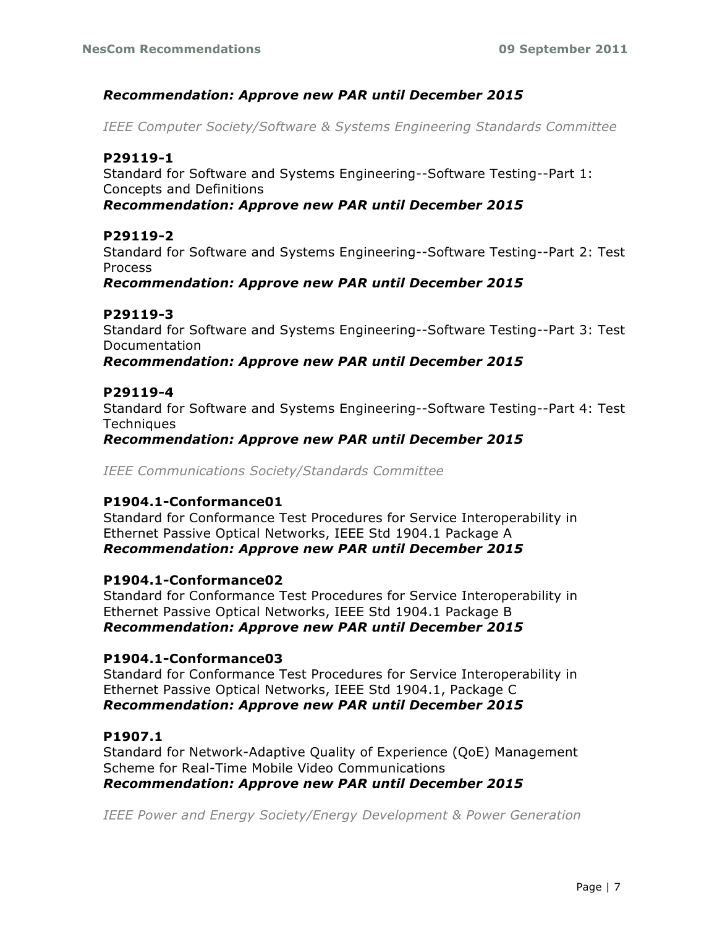## *Recommendation: Approve new PAR until December 2015*

*IEEE Computer Society/Software & Systems Engineering Standards Committee*

## **P29119-1**

Standard for Software and Systems Engineering--Software Testing--Part 1: Concepts and Definitions

*Recommendation: Approve new PAR until December 2015*

### **P29119-2**

Standard for Software and Systems Engineering--Software Testing--Part 2: Test Process

*Recommendation: Approve new PAR until December 2015*

### **P29119-3**

Standard for Software and Systems Engineering--Software Testing--Part 3: Test Documentation

#### *Recommendation: Approve new PAR until December 2015*

#### **P29119-4**

Standard for Software and Systems Engineering--Software Testing--Part 4: Test **Techniques** 

*Recommendation: Approve new PAR until December 2015*

*IEEE Communications Society/Standards Committee*

### **P1904.1-Conformance01**

Standard for Conformance Test Procedures for Service Interoperability in Ethernet Passive Optical Networks, IEEE Std 1904.1 Package A *Recommendation: Approve new PAR until December 2015*

#### **P1904.1-Conformance02**

Standard for Conformance Test Procedures for Service Interoperability in Ethernet Passive Optical Networks, IEEE Std 1904.1 Package B *Recommendation: Approve new PAR until December 2015*

#### **P1904.1-Conformance03**

Standard for Conformance Test Procedures for Service Interoperability in Ethernet Passive Optical Networks, IEEE Std 1904.1, Package C *Recommendation: Approve new PAR until December 2015*

### **P1907.1**

Standard for Network-Adaptive Quality of Experience (QoE) Management Scheme for Real-Time Mobile Video Communications *Recommendation: Approve new PAR until December 2015*

*IEEE Power and Energy Society/Energy Development & Power Generation*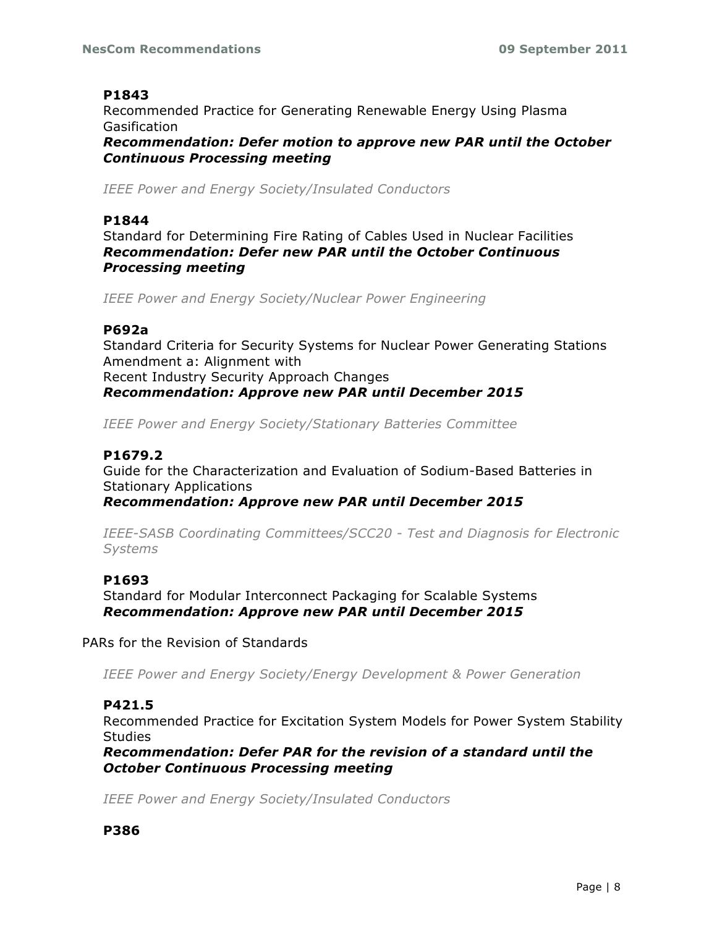## **P1843**

Recommended Practice for Generating Renewable Energy Using Plasma Gasification *Recommendation: Defer motion to approve new PAR until the October Continuous Processing meeting*

*IEEE Power and Energy Society/Insulated Conductors*

#### **P1844**

Standard for Determining Fire Rating of Cables Used in Nuclear Facilities *Recommendation: Defer new PAR until the October Continuous Processing meeting*

*IEEE Power and Energy Society/Nuclear Power Engineering*

### **P692a**

Standard Criteria for Security Systems for Nuclear Power Generating Stations Amendment a: Alignment with Recent Industry Security Approach Changes *Recommendation: Approve new PAR until December 2015*

*IEEE Power and Energy Society/Stationary Batteries Committee*

## **P1679.2**

Guide for the Characterization and Evaluation of Sodium-Based Batteries in Stationary Applications

*Recommendation: Approve new PAR until December 2015*

*IEEE-SASB Coordinating Committees/SCC20 - Test and Diagnosis for Electronic Systems*

### **P1693**

Standard for Modular Interconnect Packaging for Scalable Systems *Recommendation: Approve new PAR until December 2015*

PARs for the Revision of Standards

*IEEE Power and Energy Society/Energy Development & Power Generation*

### **P421.5**

Recommended Practice for Excitation System Models for Power System Stability **Studies** 

*Recommendation: Defer PAR for the revision of a standard until the October Continuous Processing meeting*

*IEEE Power and Energy Society/Insulated Conductors*

### **P386**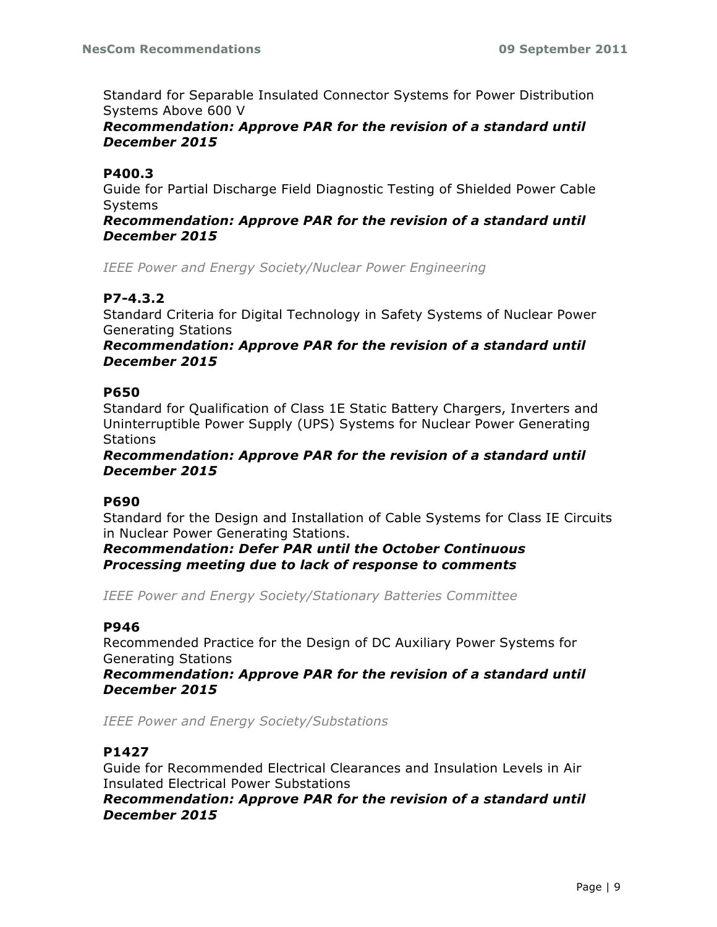Standard for Separable Insulated Connector Systems for Power Distribution Systems Above 600 V

## *Recommendation: Approve PAR for the revision of a standard until December 2015*

## **P400.3**

Guide for Partial Discharge Field Diagnostic Testing of Shielded Power Cable Systems

#### *Recommendation: Approve PAR for the revision of a standard until December 2015*

*IEEE Power and Energy Society/Nuclear Power Engineering*

## **P7-4.3.2**

Standard Criteria for Digital Technology in Safety Systems of Nuclear Power Generating Stations

### *Recommendation: Approve PAR for the revision of a standard until December 2015*

### **P650**

Standard for Qualification of Class 1E Static Battery Chargers, Inverters and Uninterruptible Power Supply (UPS) Systems for Nuclear Power Generating **Stations** 

### *Recommendation: Approve PAR for the revision of a standard until December 2015*

### **P690**

Standard for the Design and Installation of Cable Systems for Class IE Circuits in Nuclear Power Generating Stations.

*Recommendation: Defer PAR until the October Continuous Processing meeting due to lack of response to comments*

*IEEE Power and Energy Society/Stationary Batteries Committee*

### **P946**

Recommended Practice for the Design of DC Auxiliary Power Systems for Generating Stations

*Recommendation: Approve PAR for the revision of a standard until December 2015*

*IEEE Power and Energy Society/Substations*

### **P1427**

Guide for Recommended Electrical Clearances and Insulation Levels in Air Insulated Electrical Power Substations

*Recommendation: Approve PAR for the revision of a standard until December 2015*